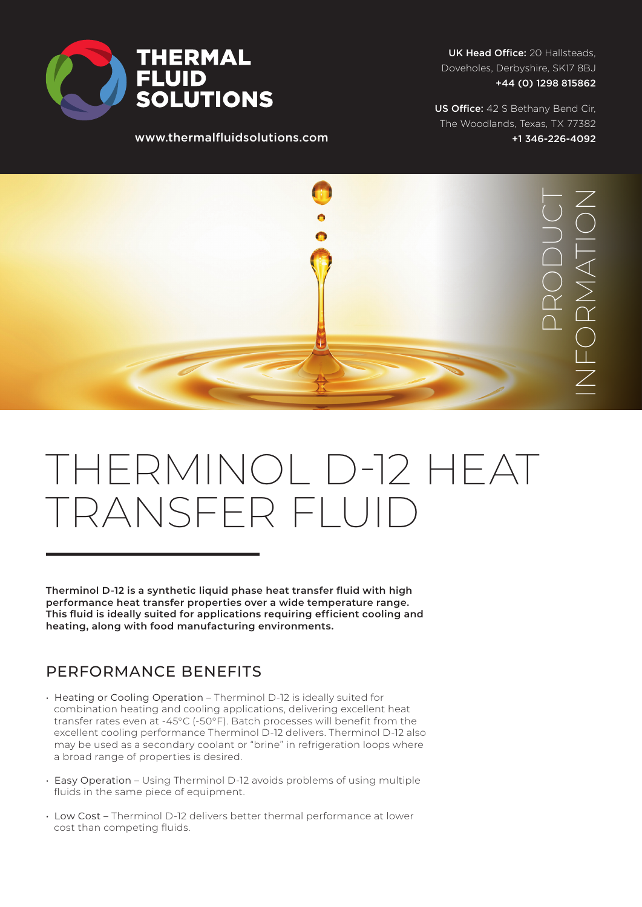

www.thermalfluidsolutions.com

UK Head Office: 20 Hallsteads, Doveholes, Derbyshire, SK17 8BJ +44 (0) 1298 815862

US Office: 42 S Bethany Bend Cir, The Woodlands, Texas, TX 77382 +1 346-226-4092



## THERMINOL D-12 HEAT TRANSFER FLUID

**Therminol D-12 is a synthetic liquid phase heat transfer fluid with high performance heat transfer properties over a wide temperature range. This fluid is ideally suited for applications requiring efficient cooling and heating, along with food manufacturing environments.**

## PERFORMANCE BENEFITS

- Heating or Cooling Operation Therminol D-12 is ideally suited for combination heating and cooling applications, delivering excellent heat transfer rates even at -45°C (-50°F). Batch processes will benefit from the excellent cooling performance Therminol D-12 delivers. Therminol D-12 also may be used as a secondary coolant or "brine" in refrigeration loops where a broad range of properties is desired.
- Easy Operation Using Therminol D-12 avoids problems of using multiple fluids in the same piece of equipment.
- Low Cost Therminol D-12 delivers better thermal performance at lower cost than competing fluids.